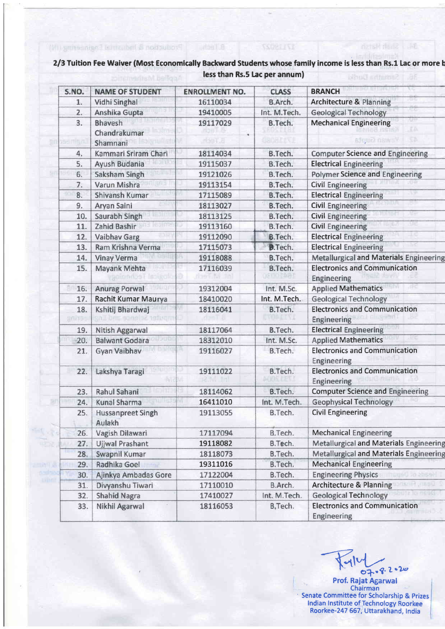## 2/3 Tuition Fee Waiver (Most Economically Backward Students whose family income is less than Rs.1 Lac or more b less than Rs.5 Lac per annum)

6.Textul Production & Industrian Engineering (IV)

**SCORLLIVE** 

**BALL Shaft Hartsh** 

| S.NO.          | <b>NAME OF STUDENT</b>                | <b>ENROLLMENT NO.</b> | <b>CLASS</b>   | <b>BRANCH</b>                                       |
|----------------|---------------------------------------|-----------------------|----------------|-----------------------------------------------------|
| 1.             | Vidhi Singhal                         | 16110034              | B.Arch.        | <b>Architecture &amp; Planning</b>                  |
| 2.             | Anshika Gupta                         | 19410005              | Int. M.Tech.   | <b>Geological Technology</b>                        |
| 3.             | <b>Bhavesh</b>                        | 19117029              | B.Tech.        | <b>Mechanical Engineering</b>                       |
|                | Chandrakumar                          |                       |                | FA.                                                 |
|                | Shamnani                              | rios II. a            |                | SÞ.<br>sfeur news Y                                 |
| 4.             | Kammari Sriram Chari                  | 18114034              | B.Tech.        | <b>Computer Science and Engineering</b>             |
| 5.             | Ayush Budania                         | 19115037              | B.Tech.        | <b>Electrical Engineering</b>                       |
| 6.             | Saksham Singh                         | 19121026              | B.Tech.        | <b>Polymer Science and Engineering</b>              |
| 7.             | Varun Mishra                          | 19113154              | B.Tech.        | <b>Civil Engineering</b>                            |
| 8.             | Shivansh Kumar                        | 17115089              | B.Tech.        | <b>Electrical Engineering</b>                       |
| 9.             | Aryan Saini                           | 18113027              | B.Tech.        | <b>Civil Engineering</b>                            |
| 10.            | Saurabh Singh                         | 18113125              | B.Tech.        | ter i<br><b>Civil Engineering</b>                   |
| 11.            | Zahid Bashir                          | 19113160              | B.Tech.        | ue<br><b>Civil Engineering</b>                      |
| 12.            | Vaibhav Garg                          | 19112090              | B.Tech.        | <b>Electrical Engineering</b>                       |
| 13.            | Ram Krishna Verma                     | 17115073              | <b>B.Tech.</b> | <b>Electrical Engineering</b>                       |
| 14.            | <b>Vinay Verma</b>                    | 19118088              | B.Tech.        | <b>Metallurgical and Materials Engineering</b>      |
| 15.            | Mayank Mehta<br><b>MOSE INOURO</b>    | 17116039              | B.Tech.        | <b>Electronics and Communication</b><br>Engineering |
| 16.            | <b>Anurag Porwal</b>                  | 19312004              | Int. M.Sc.     | <b>Applied Mathematics</b>                          |
| 17.            | Rachit Kumar Maurya                   | 18410020              | Int. M.Tech.   | <b>Geological Technology</b>                        |
| 18.<br>ini 191 | Kshitij Bhardwaj<br>on II Brits sono. | 18116041              | B.Tech.        | <b>Electronics and Communication</b><br>Engineering |
| 19.            | Nitish Aggarwal                       | 18117064              | B.Tech.        | <b>Electrical Engineering</b>                       |
| 20.            | <b>Balwant Godara</b>                 | 18312010              | Int. M.Sc.     | <b>Applied Mathematics</b>                          |
| 21.            | Gyan Vaibhav                          | 19116027              | B.Tech.        | <b>Electronics and Communication</b><br>Engineering |
| 22.            | Lakshya Taragi                        | 19111022<br>v         | B.Tech.        | <b>Electronics and Communication</b><br>Engineering |
| 23.            | Rahul Sahani                          | 18114062              | B.Tech.        | <b>Computer Science and Engineering</b>             |
| 24.            | Kunal Sharma                          | 16411010              | Int. M.Tech.   | <b>Geophysical Technology</b>                       |
| 25.            | <b>Hussanpreet Singh</b><br>Aulakh    | 19113055              | B.Tech.        | <b>Civil Engineering</b>                            |
| 26.            | Vagish Dilawari                       | 17117094              | B.Tech.        | <b>Mechanical Engineering</b>                       |
| 27.            | Ujjwal Prashant                       | 19118082              | B.Tech.        | Metallurgical and Materials Engineering             |
| 28.            | Swapnil Kumar                         | 18118073              | B.Tech.        | Metallurgical and Materials Engineering             |
| 29.            | Radhika Goel                          | 19311016              | B.Tech.        | <b>Mechanical Engineering</b>                       |
| 30.            | Ajinkya Ambadas Gore                  | 17122004              | B.Tech.        | <b>Engineering Physics</b><br>gáG 70 20692          |
| 31.            | Divyanshu Tiwari                      | 17110010              | B.Arch.        | 114,0805<br><b>Architecture &amp; Planning</b>      |
| 32.            | <b>Shahid Nagra</b>                   | 17410027              | Int. M.Tech.   | <b>Geological Technology</b>                        |
| 33.            | Nikhil Agarwal                        | 18116053              | B, Tech.       | <b>Electronics and Communication</b><br>Engineering |

07.8.2.20 Prof. Rajat Agarwal Senate Committee for Scholarship & Prizes<br>Indian Institute of Technology Roorkee<br>Roorkee-247 667, Uttarakhand, India